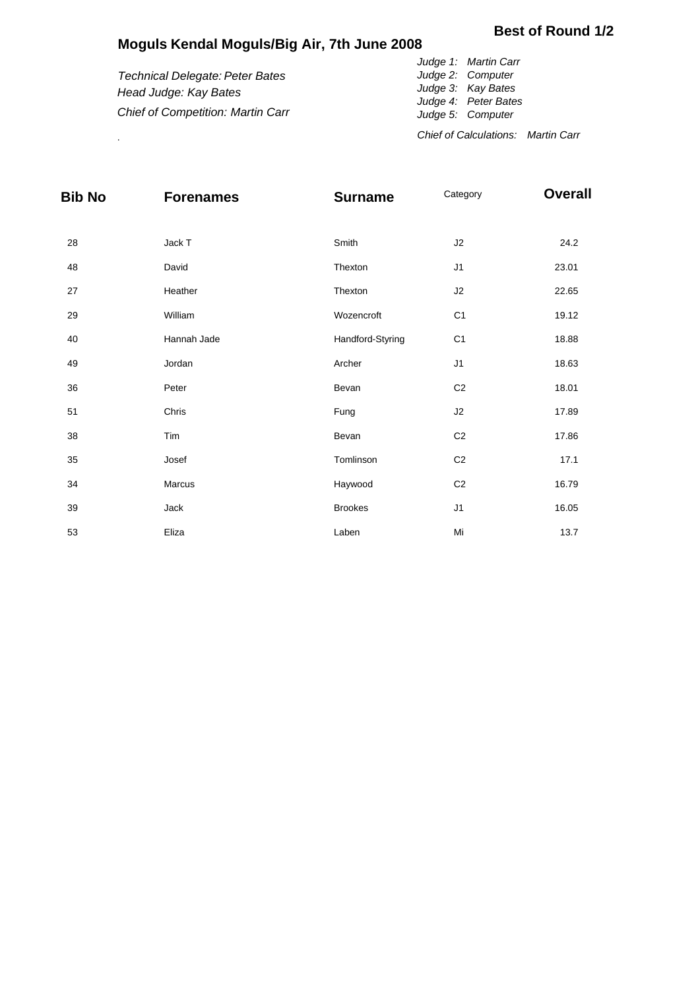## **Moguls Kendal Moguls/Big Air, 7th June 2008**

## **Best of Round 1/2**

*Technical Delegate: Peter Bates Head Judge: Kay Bates Chief of Competition: Martin Carr*

*Judge 1: Martin Carr Judge 2: Computer Judge 3: Kay Bates Judge 4: Peter Bates Judge 5: Computer Chief of Calculations: Martin Carr* .

| <b>Bib No</b> | <b>Forenames</b> | <b>Surname</b>   | Category       | <b>Overall</b> |
|---------------|------------------|------------------|----------------|----------------|
| 28            | Jack T           | Smith            | J2             | 24.2           |
| 48            | David            | Thexton          | J1             | 23.01          |
| 27            | Heather          | Thexton          | J2             | 22.65          |
| 29            | William          | Wozencroft       | C <sub>1</sub> | 19.12          |
| 40            | Hannah Jade      | Handford-Styring | C <sub>1</sub> | 18.88          |
| 49            | Jordan           | Archer           | J1             | 18.63          |
| 36            | Peter            | Bevan            | C <sub>2</sub> | 18.01          |
| 51            | Chris            | Fung             | J2             | 17.89          |
| 38            | Tim              | Bevan            | C <sub>2</sub> | 17.86          |
| 35            | Josef            | Tomlinson        | C <sub>2</sub> | 17.1           |
| 34            | Marcus           | Haywood          | C <sub>2</sub> | 16.79          |
| 39            | Jack             | <b>Brookes</b>   | J <sub>1</sub> | 16.05          |
| 53            | Eliza            | Laben            | Mi             | 13.7           |
|               |                  |                  |                |                |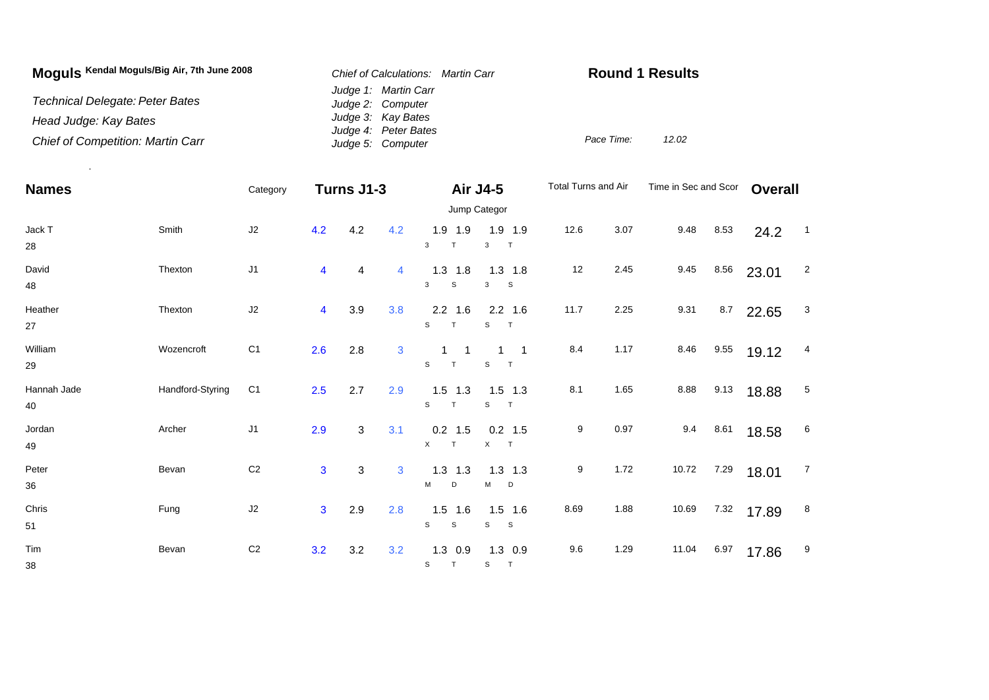| Moguls Kendal Moguls/Big Air, 7th June 2008 | Chief of Calculations: Martin Carr        | <b>Round 1 Results</b> |       |
|---------------------------------------------|-------------------------------------------|------------------------|-------|
| Technical Delegate: Peter Bates             | Judge 1: Martin Carr<br>Judge 2: Computer |                        |       |
| Head Judge: Kay Bates                       | Judge 3: Kay Bates                        |                        |       |
| <b>Chief of Competition: Martin Carr</b>    | Judge 4: Peter Bates<br>Judge 5: Computer | Pace Time:             | 12.02 |

.

| <b>Names</b>      |                  | Category       |                | Turns J1-3 |     | Air J4-5                    |                                                      | Total Turns and Air |      | Time in Sec and Scor |      | <b>Overall</b> |                          |  |
|-------------------|------------------|----------------|----------------|------------|-----|-----------------------------|------------------------------------------------------|---------------------|------|----------------------|------|----------------|--------------------------|--|
|                   |                  | Jump Categor   |                |            |     |                             |                                                      |                     |      |                      |      |                |                          |  |
| Jack T<br>28      | Smith            | J2             | 4.2            | 4.2        | 4.2 | $1.9$ 1.9<br>3<br>T         | $1.9$ 1.9<br>$\mathbf{3}$<br>T                       | 12.6                | 3.07 | 9.48                 | 8.53 | 24.2           | $\overline{\phantom{0}}$ |  |
| David<br>48       | Thexton          | J <sub>1</sub> | 4              | 4          | 4   | $1.3$ 1.8<br>${\tt S}$<br>3 | $1.3$ 1.8<br>3<br><b>S</b>                           | 12                  | 2.45 | 9.45                 | 8.56 | 23.01          | $\overline{c}$           |  |
| Heather<br>27     | Thexton          | J2             | 4              | 3.9        | 3.8 | $2.2$ 1.6<br>S<br>T         | $2.2$ 1.6<br>S<br>$\top$                             | 11.7                | 2.25 | 9.31                 | 8.7  | 22.65          | $\mathbf{3}$             |  |
| William<br>29     | Wozencroft       | C <sub>1</sub> | 2.6            | 2.8        | 3   | S<br>T                      | $\overline{\phantom{0}}$ 1<br>$\mathbf{1}$<br>S<br>T | 8.4                 | 1.17 | 8.46                 | 9.55 | 19.12          | 4                        |  |
| Hannah Jade<br>40 | Handford-Styring | C <sub>1</sub> | 2.5            | 2.7        | 2.9 | $1.5$ 1.3<br>S<br>T         | $1.5$ 1.3<br>S<br>T                                  | 8.1                 | 1.65 | 8.88                 | 9.13 | 18.88          | 5                        |  |
| Jordan<br>49      | Archer           | J1             | 2.9            | 3          | 3.1 | $0.2$ 1.5<br>$\times$<br>T  | $0.2$ 1.5<br>X T                                     | 9                   | 0.97 | 9.4                  | 8.61 | 18.58          | $6\phantom{.}6$          |  |
| Peter<br>36       | Bevan            | C <sub>2</sub> | $\overline{3}$ | 3          | 3   | $1.3$ 1.3<br>М<br>D         | $1.3$ 1.3<br>$M$ D                                   | 9                   | 1.72 | 10.72                | 7.29 | 18.01          | $\overline{7}$           |  |
| Chris<br>51       | Fung             | J2             | $\overline{3}$ | 2.9        | 2.8 | $1.5$ 1.6<br>${\tt S}$<br>S | $1.5$ 1.6<br>S<br>$\mathbf{s}$                       | 8.69                | 1.88 | 10.69                | 7.32 | 17.89          | 8                        |  |
| Tim<br>38         | Bevan            | $\mbox{C2}$    | 3.2            | 3.2        | 3.2 | $1.3$ 0.9<br>S<br>T         | $1.3$ 0.9<br>T<br>S                                  | 9.6                 | 1.29 | 11.04                | 6.97 | 17.86          | 9                        |  |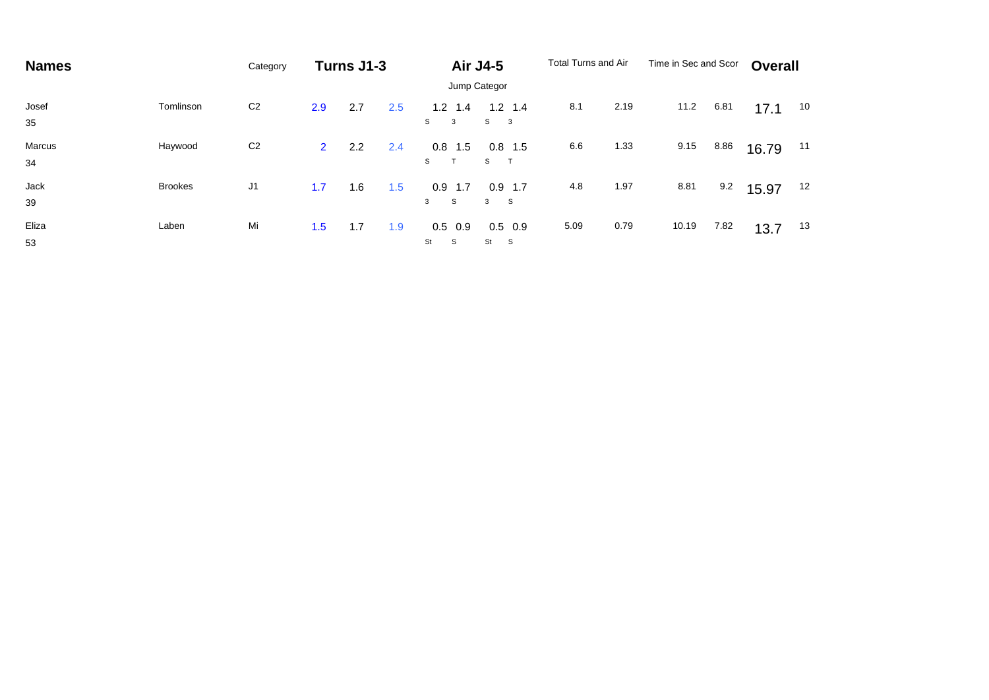| <b>Names</b> |                | Category       | Turns J1-3     |     | <b>Air J4-5</b> |                      | <b>Total Turns and Air</b>                |      | Time in Sec and Scor |       | <b>Overall</b> |       |    |
|--------------|----------------|----------------|----------------|-----|-----------------|----------------------|-------------------------------------------|------|----------------------|-------|----------------|-------|----|
|              |                | Jump Categor   |                |     |                 |                      |                                           |      |                      |       |                |       |    |
| Josef<br>35  | Tomlinson      | C <sub>2</sub> | 2.9            | 2.7 | 2.5             | $1.2$ 1.4<br>S<br>3  | $1.2$ 1.4<br>S<br>$\overline{\mathbf{3}}$ | 8.1  | 2.19                 | 11.2  | 6.81           | 17.1  | 10 |
| Marcus<br>34 | Haywood        | C <sub>2</sub> | $\overline{2}$ | 2.2 | 2.4             | $0.8$ 1.5<br>S<br>T  | 0.8<br>1.5<br>S                           | 6.6  | 1.33                 | 9.15  | 8.86           | 16.79 | 11 |
| Jack<br>39   | <b>Brookes</b> | J <sub>1</sub> | 1.7            | 1.6 | 1.5             | $0.9$ 1.7<br>S<br>3  | 0.9<br>1.7<br>3<br>$^{\circ}$ S           | 4.8  | 1.97                 | 8.81  | 9.2            | 15.97 | 12 |
| Eliza<br>53  | Laben          | Mi             | 1.5            | 1.7 | 1.9             | $0.5$ 0.9<br>St<br>S | $0.5\quad 0.9$<br>St<br>$\mathbf{s}$      | 5.09 | 0.79                 | 10.19 | 7.82           | 13.7  | 13 |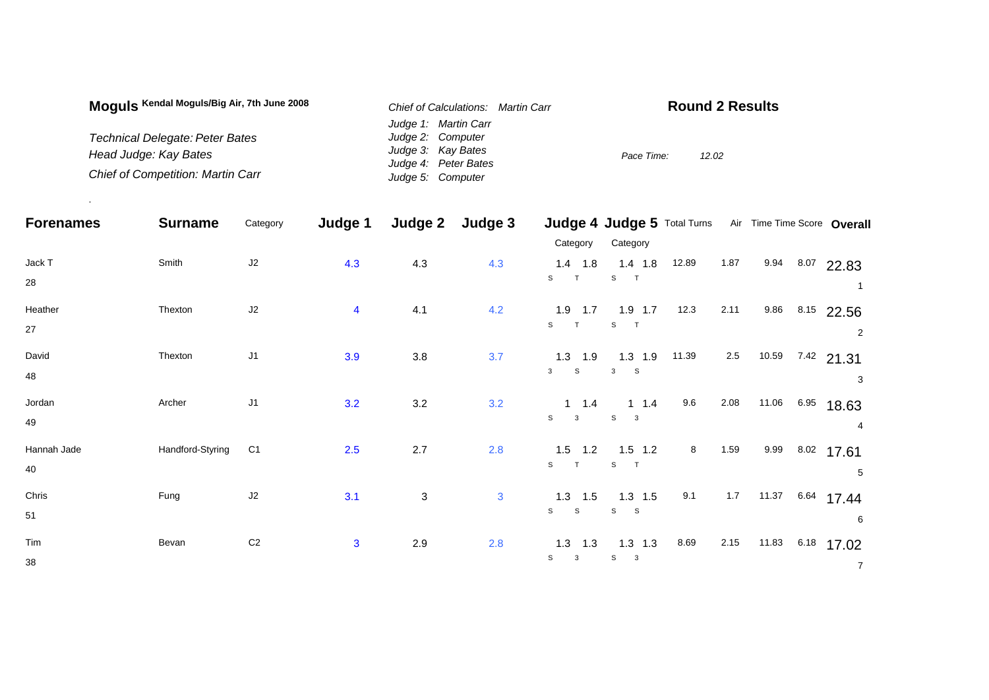| Moguls Kendal Moguls/Big Air, 7th June 2008 | Chief of Calculations: Martin Carr | <b>Round 2 Results</b> |
|---------------------------------------------|------------------------------------|------------------------|
|                                             | Judge 1: Martin Carr               |                        |
| Technical Delegate: Peter Bates             | Judge 2: Computer                  |                        |
| Head Judge: Kay Bates                       | Judge 3: Kay Bates                 | Pace Time:<br>12.02    |
|                                             | Judge 4: Peter Bates               |                        |
| <b>Chief of Competition: Martin Carr</b>    | Judge 5: Computer                  |                        |

.

| <b>Forenames</b> | <b>Surname</b>   | Category       | Judge 1                 | Judge 2                   | Judge 3      |                              | Judge 4 Judge 5 Total Turns Air Time Time Score Overall |       |      |       |      |                 |
|------------------|------------------|----------------|-------------------------|---------------------------|--------------|------------------------------|---------------------------------------------------------|-------|------|-------|------|-----------------|
|                  |                  |                |                         |                           |              | Category                     | Category                                                |       |      |       |      |                 |
| Jack T           | Smith            | $\sf J2$       | 4.3                     | 4.3                       | 4.3          | $1.4$ 1.8                    | $1.4$ 1.8                                               | 12.89 | 1.87 |       |      | 9.94 8.07 22.83 |
| 28               |                  |                |                         |                           |              | S<br>T                       | S                                                       |       |      |       |      | -1              |
| Heather          | Thexton          | $\sf J2$       | $\overline{\mathbf{4}}$ | 4.1                       | 4.2          | $1.9$ 1.7                    | $1.9$ 1.7                                               | 12.3  | 2.11 | 9.86  |      | 8.15 22.56      |
| 27               |                  |                |                         |                           |              | S<br>T                       | $\mathbb S$                                             |       |      |       |      | $\overline{2}$  |
| David            | Thexton          | J1             | 3.9                     | $3.8\,$                   | 3.7          | $1.3$ 1.9                    | $1.3$ 1.9                                               | 11.39 | 2.5  | 10.59 |      | $7.42$ 21.31    |
| 48               |                  |                |                         |                           |              | $\mathbf{s}$<br>$\mathbf{3}$ | $\mathbf{3}$<br>$\mathbf S$                             |       |      |       |      | 3               |
| Jordan           | Archer           | J1             | 3.2                     | 3.2                       | 3.2          | $1 \t1.4$                    | $1 \t1.4$                                               | 9.6   | 2.08 | 11.06 | 6.95 | 18.63           |
| 49               |                  |                |                         |                           |              | $\mathsf{s}$<br>$\mathbf{3}$ | $\mathbb S$<br>$\mathbf{3}$                             |       |      |       |      |                 |
| Hannah Jade      | Handford-Styring | C <sub>1</sub> | 2.5                     | 2.7                       | 2.8          | $1.5$ 1.2                    | $1.5$ 1.2                                               | 8     | 1.59 | 9.99  | 8.02 | 17.61           |
| 40               |                  |                |                         |                           |              | S<br>T                       | S<br>$\mathsf{T}$                                       |       |      |       |      | 5               |
| Chris            | Fung             | J2             | 3.1                     | $\ensuremath{\mathsf{3}}$ | $\mathbf{3}$ | $1.3$ 1.5                    | $1.3$ 1.5                                               | 9.1   | 1.7  | 11.37 |      | $6.64$ 17.44    |
| 51               |                  |                |                         |                           |              | $\mathsf{s}$<br>$\mathsf{s}$ | S<br>$\mathbf S$                                        |       |      |       |      | 6               |
| Tim              | Bevan            | C <sub>2</sub> | $\mathbf{3}$            | 2.9                       | 2.8          | $1.3$ 1.3                    | $1.3$ 1.3                                               | 8.69  | 2.15 | 11.83 | 6.18 | 17.02           |
| 38               |                  |                |                         |                           |              | S<br>$\mathbf{3}$            | S<br>$\overline{\mathbf{3}}$                            |       |      |       |      | $\overline{7}$  |